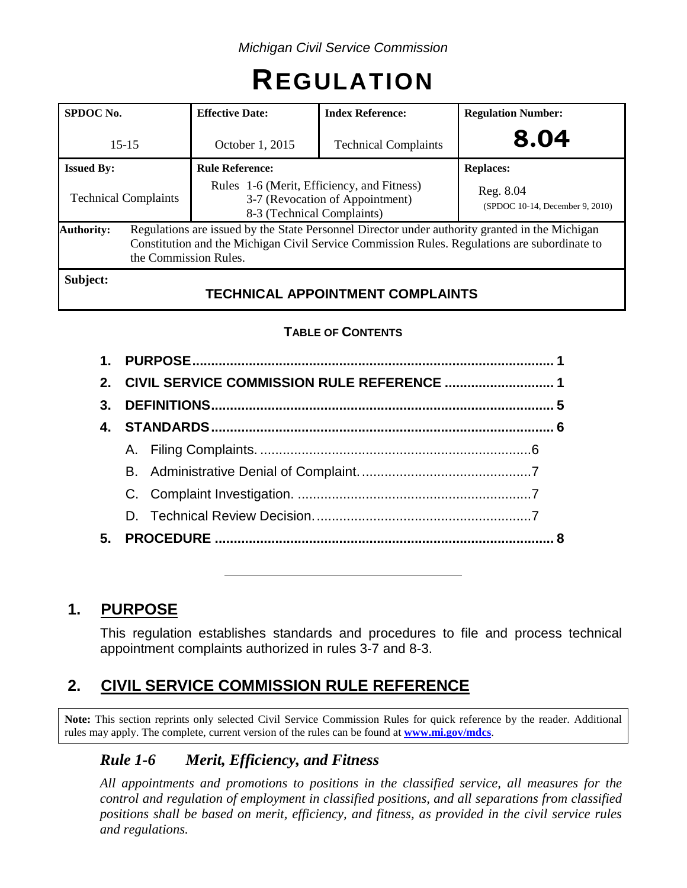# **REGULATION**

| SPDOC <sub>No.</sub>                                                                                                                                                                                                                         | <b>Effective Date:</b>                                                                                      | <b>Index Reference:</b>                 | <b>Regulation Number:</b>                    |  |  |
|----------------------------------------------------------------------------------------------------------------------------------------------------------------------------------------------------------------------------------------------|-------------------------------------------------------------------------------------------------------------|-----------------------------------------|----------------------------------------------|--|--|
| $15 - 15$                                                                                                                                                                                                                                    | October 1, 2015                                                                                             | <b>Technical Complaints</b>             | 8.04                                         |  |  |
| <b>Issued By:</b>                                                                                                                                                                                                                            | <b>Rule Reference:</b>                                                                                      |                                         | <b>Replaces:</b>                             |  |  |
| <b>Technical Complaints</b>                                                                                                                                                                                                                  | Rules 1-6 (Merit, Efficiency, and Fitness)<br>3-7 (Revocation of Appointment)<br>8-3 (Technical Complaints) |                                         | Reg. 8.04<br>(SPDOC 10-14, December 9, 2010) |  |  |
| Regulations are issued by the State Personnel Director under authority granted in the Michigan<br><b>Authority:</b><br>Constitution and the Michigan Civil Service Commission Rules. Regulations are subordinate to<br>the Commission Rules. |                                                                                                             |                                         |                                              |  |  |
| Subject:                                                                                                                                                                                                                                     |                                                                                                             | <b>TECHNICAL APPOINTMENT COMPLAINTS</b> |                                              |  |  |

# **TABLE OF CONTENTS**

|    | 2. CIVIL SERVICE COMMISSION RULE REFERENCE  1 |  |  |  |  |  |
|----|-----------------------------------------------|--|--|--|--|--|
|    |                                               |  |  |  |  |  |
|    |                                               |  |  |  |  |  |
|    |                                               |  |  |  |  |  |
|    |                                               |  |  |  |  |  |
|    |                                               |  |  |  |  |  |
|    |                                               |  |  |  |  |  |
| 5. |                                               |  |  |  |  |  |
|    |                                               |  |  |  |  |  |

# **1. PURPOSE**

This regulation establishes standards and procedures to file and process technical appointment complaints authorized in rules 3-7 and 8-3.

# **2. CIVIL SERVICE COMMISSION RULE REFERENCE**

**Note:** This section reprints only selected Civil Service Commission Rules for quick reference by the reader. Additional rules may apply. The complete, current version of the rules can be found at **[www.mi.gov/mdcs](http://www.mi.gov/mdcs)**.

# *Rule 1-6 Merit, Efficiency, and Fitness*

*All appointments and promotions to positions in the classified service, all measures for the control and regulation of employment in classified positions, and all separations from classified positions shall be based on merit, efficiency, and fitness, as provided in the civil service rules and regulations.*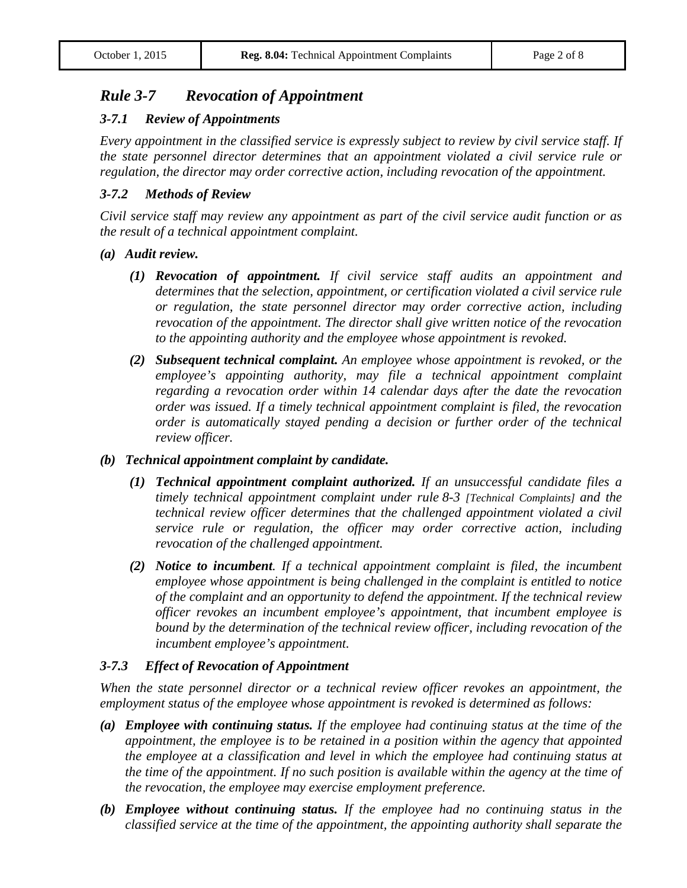# *Rule 3-7 Revocation of Appointment*

#### *3-7.1 Review of Appointments*

*Every appointment in the classified service is expressly subject to review by civil service staff. If the state personnel director determines that an appointment violated a civil service rule or regulation, the director may order corrective action, including revocation of the appointment.*

#### *3-7.2 Methods of Review*

*Civil service staff may review any appointment as part of the civil service audit function or as the result of a technical appointment complaint.*

#### *(a) Audit review.*

- *(1) Revocation of appointment. If civil service staff audits an appointment and determines that the selection, appointment, or certification violated a civil service rule or regulation, the state personnel director may order corrective action, including revocation of the appointment. The director shall give written notice of the revocation to the appointing authority and the employee whose appointment is revoked.*
- *(2) Subsequent technical complaint. An employee whose appointment is revoked, or the employee's appointing authority, may file a technical appointment complaint regarding a revocation order within 14 calendar days after the date the revocation order was issued. If a timely technical appointment complaint is filed, the revocation order is automatically stayed pending a decision or further order of the technical review officer.*

#### *(b) Technical appointment complaint by candidate.*

- *(1) Technical appointment complaint authorized. If an unsuccessful candidate files a timely technical appointment complaint under rule 8-3 [Technical Complaints] and the technical review officer determines that the challenged appointment violated a civil service rule or regulation, the officer may order corrective action, including revocation of the challenged appointment.*
- *(2) Notice to incumbent. If a technical appointment complaint is filed, the incumbent employee whose appointment is being challenged in the complaint is entitled to notice of the complaint and an opportunity to defend the appointment. If the technical review officer revokes an incumbent employee's appointment, that incumbent employee is bound by the determination of the technical review officer, including revocation of the incumbent employee's appointment.*

#### *3-7.3 Effect of Revocation of Appointment*

*When the state personnel director or a technical review officer revokes an appointment, the employment status of the employee whose appointment is revoked is determined as follows:*

- *(a) Employee with continuing status. If the employee had continuing status at the time of the appointment, the employee is to be retained in a position within the agency that appointed the employee at a classification and level in which the employee had continuing status at the time of the appointment. If no such position is available within the agency at the time of the revocation, the employee may exercise employment preference.*
- *(b) Employee without continuing status. If the employee had no continuing status in the classified service at the time of the appointment, the appointing authority shall separate the*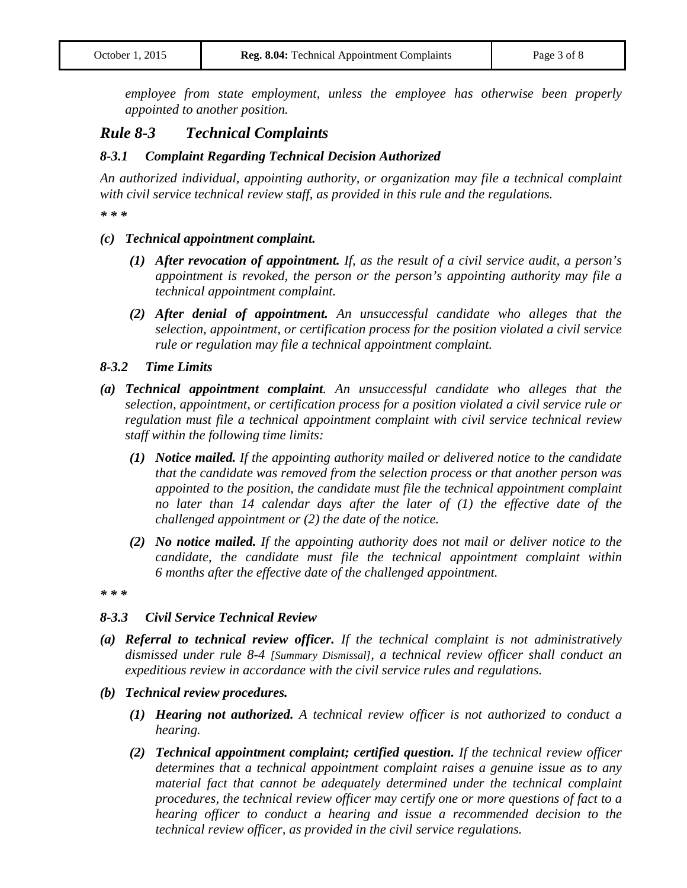*employee from state employment, unless the employee has otherwise been properly appointed to another position.*

# *Rule 8-3 Technical Complaints*

#### *8-3.1 Complaint Regarding Technical Decision Authorized*

*An authorized individual, appointing authority, or organization may file a technical complaint with civil service technical review staff, as provided in this rule and the regulations.*

*\* \* \**

#### *(c) Technical appointment complaint.*

- *(1) After revocation of appointment. If, as the result of a civil service audit, a person's appointment is revoked, the person or the person's appointing authority may file a technical appointment complaint.*
- *(2) After denial of appointment. An unsuccessful candidate who alleges that the selection, appointment, or certification process for the position violated a civil service rule or regulation may file a technical appointment complaint.*

#### *8-3.2 Time Limits*

- *(a) Technical appointment complaint. An unsuccessful candidate who alleges that the selection, appointment, or certification process for a position violated a civil service rule or regulation must file a technical appointment complaint with civil service technical review staff within the following time limits:*
	- *(1) Notice mailed. If the appointing authority mailed or delivered notice to the candidate that the candidate was removed from the selection process or that another person was appointed to the position, the candidate must file the technical appointment complaint no later than 14 calendar days after the later of (1) the effective date of the challenged appointment or (2) the date of the notice.*
	- *(2) No notice mailed. If the appointing authority does not mail or deliver notice to the candidate, the candidate must file the technical appointment complaint within 6 months after the effective date of the challenged appointment.*

*\* \* \**

#### *8-3.3 Civil Service Technical Review*

- *(a) Referral to technical review officer. If the technical complaint is not administratively dismissed under rule 8-4 [Summary Dismissal], a technical review officer shall conduct an expeditious review in accordance with the civil service rules and regulations.*
- *(b) Technical review procedures.*
	- *(1) Hearing not authorized. A technical review officer is not authorized to conduct a hearing.*
	- *(2) Technical appointment complaint; certified question. If the technical review officer determines that a technical appointment complaint raises a genuine issue as to any material fact that cannot be adequately determined under the technical complaint procedures, the technical review officer may certify one or more questions of fact to a hearing officer to conduct a hearing and issue a recommended decision to the technical review officer, as provided in the civil service regulations.*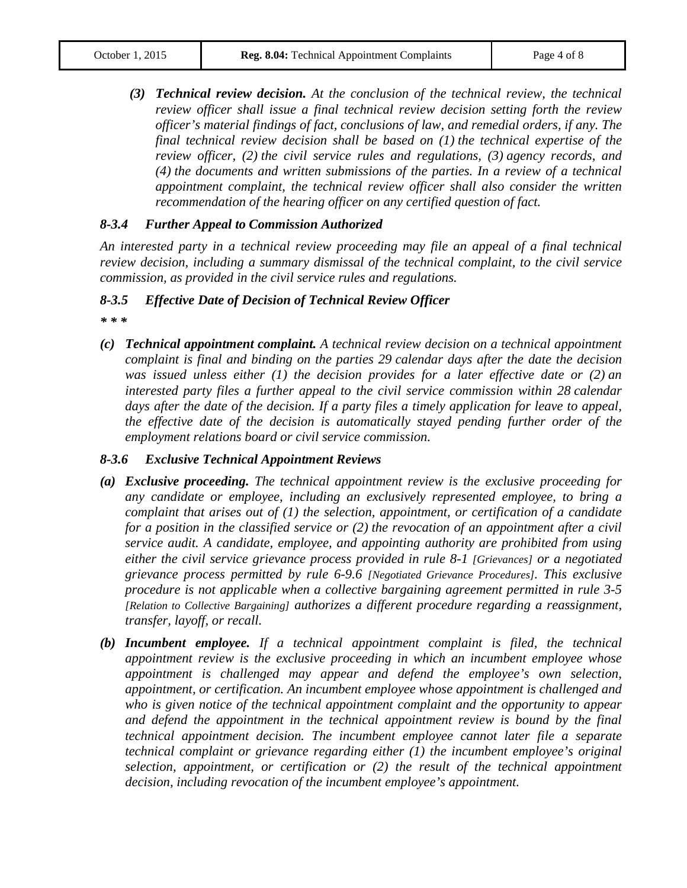*(3) Technical review decision. At the conclusion of the technical review, the technical review officer shall issue a final technical review decision setting forth the review officer's material findings of fact, conclusions of law, and remedial orders, if any. The final technical review decision shall be based on (1) the technical expertise of the review officer, (2) the civil service rules and regulations, (3) agency records, and (4) the documents and written submissions of the parties. In a review of a technical appointment complaint, the technical review officer shall also consider the written recommendation of the hearing officer on any certified question of fact.*

#### *8-3.4 Further Appeal to Commission Authorized*

*An interested party in a technical review proceeding may file an appeal of a final technical review decision, including a summary dismissal of the technical complaint, to the civil service commission, as provided in the civil service rules and regulations.*

## *8-3.5 Effective Date of Decision of Technical Review Officer*

*\* \* \**

*(c) Technical appointment complaint. A technical review decision on a technical appointment complaint is final and binding on the parties 29 calendar days after the date the decision was issued unless either (1) the decision provides for a later effective date or (2) an interested party files a further appeal to the civil service commission within 28 calendar days after the date of the decision. If a party files a timely application for leave to appeal, the effective date of the decision is automatically stayed pending further order of the employment relations board or civil service commission.*

## *8-3.6 Exclusive Technical Appointment Reviews*

- *(a) Exclusive proceeding. The technical appointment review is the exclusive proceeding for any candidate or employee, including an exclusively represented employee, to bring a complaint that arises out of (1) the selection, appointment, or certification of a candidate for a position in the classified service or (2) the revocation of an appointment after a civil service audit. A candidate, employee, and appointing authority are prohibited from using either the civil service grievance process provided in rule 8-1 [Grievances] or a negotiated grievance process permitted by rule 6-9.6 [Negotiated Grievance Procedures]. This exclusive procedure is not applicable when a collective bargaining agreement permitted in rule 3-5 [Relation to Collective Bargaining] authorizes a different procedure regarding a reassignment, transfer, layoff, or recall.*
- *(b) Incumbent employee. If a technical appointment complaint is filed, the technical appointment review is the exclusive proceeding in which an incumbent employee whose appointment is challenged may appear and defend the employee's own selection, appointment, or certification. An incumbent employee whose appointment is challenged and who is given notice of the technical appointment complaint and the opportunity to appear*  and defend the appointment in the technical appointment review is bound by the final *technical appointment decision. The incumbent employee cannot later file a separate technical complaint or grievance regarding either (1) the incumbent employee's original selection, appointment, or certification or (2) the result of the technical appointment decision, including revocation of the incumbent employee's appointment.*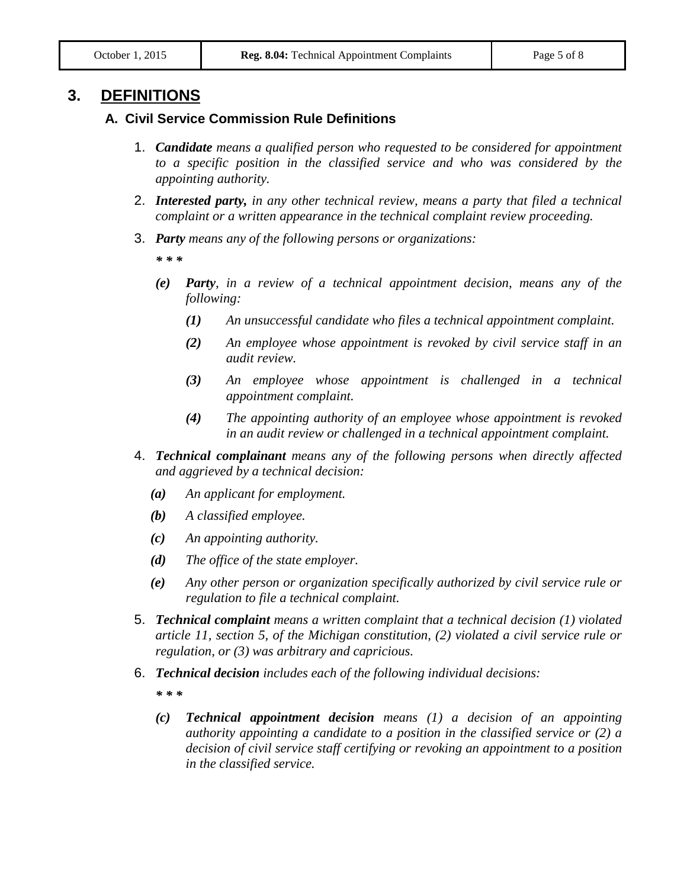# **3. DEFINITIONS**

## **A. Civil Service Commission Rule Definitions**

- 1. *Candidate means a qualified person who requested to be considered for appointment to a specific position in the classified service and who was considered by the appointing authority.*
- 2. *Interested party, in any other technical review, means a party that filed a technical complaint or a written appearance in the technical complaint review proceeding.*
- 3. *Party means any of the following persons or organizations:*

*\* \* \**

- *(e) Party, in a review of a technical appointment decision, means any of the following:*
	- *(1) An unsuccessful candidate who files a technical appointment complaint.*
	- *(2) An employee whose appointment is revoked by civil service staff in an audit review.*
	- *(3) An employee whose appointment is challenged in a technical appointment complaint.*
	- *(4) The appointing authority of an employee whose appointment is revoked in an audit review or challenged in a technical appointment complaint.*
- 4. *Technical complainant means any of the following persons when directly affected and aggrieved by a technical decision:*
	- *(a) An applicant for employment.*
	- *(b) A classified employee.*
	- *(c) An appointing authority.*
	- *(d) The office of the state employer.*
	- *(e) Any other person or organization specifically authorized by civil service rule or regulation to file a technical complaint.*
- 5. *Technical complaint means a written complaint that a technical decision (1) violated article 11, section 5, of the Michigan constitution, (2) violated a civil service rule or regulation, or (3) was arbitrary and capricious.*
- 6. *Technical decision includes each of the following individual decisions:*

*\* \* \**

*(c) Technical appointment decision means (1) a decision of an appointing authority appointing a candidate to a position in the classified service or (2) a decision of civil service staff certifying or revoking an appointment to a position in the classified service.*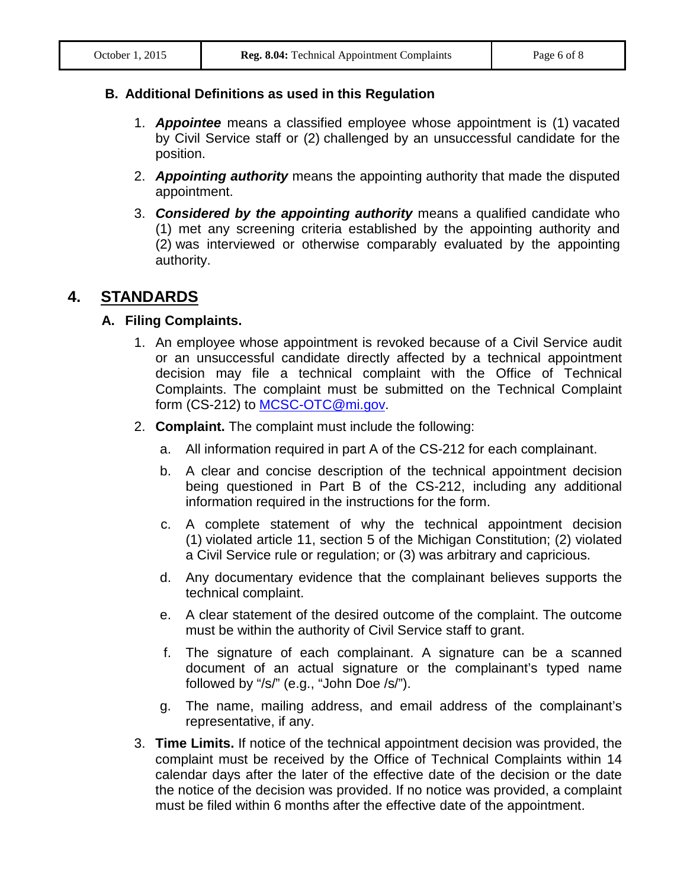## **B. Additional Definitions as used in this Regulation**

- 1. *Appointee* means a classified employee whose appointment is (1) vacated by Civil Service staff or (2) challenged by an unsuccessful candidate for the position.
- 2. *Appointing authority* means the appointing authority that made the disputed appointment.
- 3. *Considered by the appointing authority* means a qualified candidate who (1) met any screening criteria established by the appointing authority and (2) was interviewed or otherwise comparably evaluated by the appointing authority.

# **4. STANDARDS**

# **A. Filing Complaints.**

- 1. An employee whose appointment is revoked because of a Civil Service audit or an unsuccessful candidate directly affected by a technical appointment decision may file a technical complaint with the Office of Technical Complaints. The complaint must be submitted on the Technical Complaint form (CS-212) to [MCSC-OTC@mi.gov.](mailto:MCSC-OTC@mi.gov)
- 2. **Complaint.** The complaint must include the following:
	- a. All information required in part A of the CS-212 for each complainant.
	- b. A clear and concise description of the technical appointment decision being questioned in Part B of the CS-212, including any additional information required in the instructions for the form.
	- c. A complete statement of why the technical appointment decision (1) violated article 11, section 5 of the Michigan Constitution; (2) violated a Civil Service rule or regulation; or (3) was arbitrary and capricious.
	- d. Any documentary evidence that the complainant believes supports the technical complaint.
	- e. A clear statement of the desired outcome of the complaint. The outcome must be within the authority of Civil Service staff to grant.
	- f. The signature of each complainant. A signature can be a scanned document of an actual signature or the complainant's typed name followed by "/s/" (e.g., "John Doe /s/").
	- g. The name, mailing address, and email address of the complainant's representative, if any.
- 3. **Time Limits.** If notice of the technical appointment decision was provided, the complaint must be received by the Office of Technical Complaints within 14 calendar days after the later of the effective date of the decision or the date the notice of the decision was provided. If no notice was provided, a complaint must be filed within 6 months after the effective date of the appointment.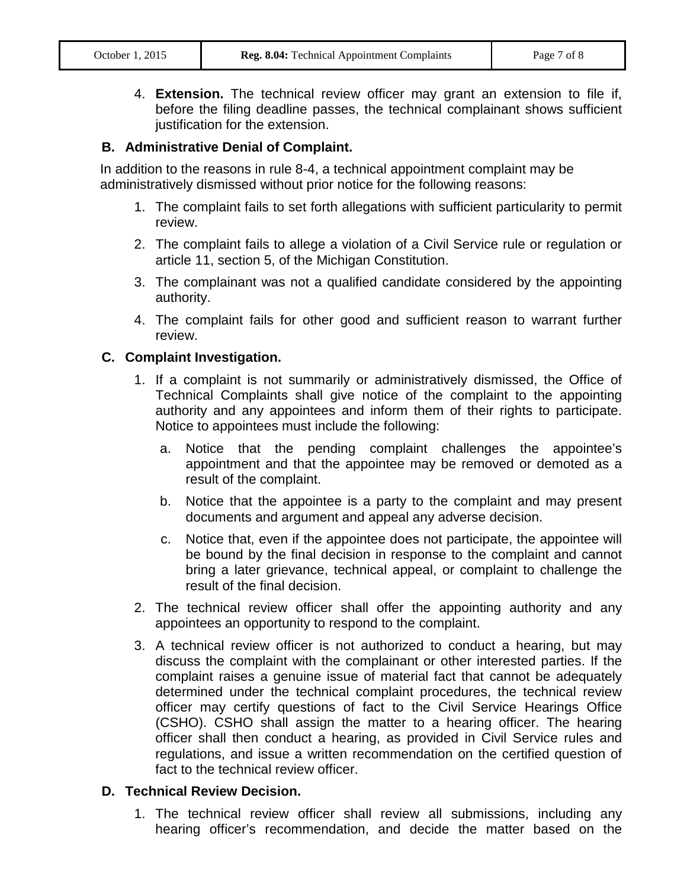4. **Extension.** The technical review officer may grant an extension to file if, before the filing deadline passes, the technical complainant shows sufficient justification for the extension.

# **B. Administrative Denial of Complaint.**

In addition to the reasons in rule 8-4, a technical appointment complaint may be administratively dismissed without prior notice for the following reasons:

- 1. The complaint fails to set forth allegations with sufficient particularity to permit review.
- 2. The complaint fails to allege a violation of a Civil Service rule or regulation or article 11, section 5, of the Michigan Constitution.
- 3. The complainant was not a qualified candidate considered by the appointing authority.
- 4. The complaint fails for other good and sufficient reason to warrant further review.

# **C. Complaint Investigation.**

- 1. If a complaint is not summarily or administratively dismissed, the Office of Technical Complaints shall give notice of the complaint to the appointing authority and any appointees and inform them of their rights to participate. Notice to appointees must include the following:
	- a. Notice that the pending complaint challenges the appointee's appointment and that the appointee may be removed or demoted as a result of the complaint.
	- b. Notice that the appointee is a party to the complaint and may present documents and argument and appeal any adverse decision.
	- c. Notice that, even if the appointee does not participate, the appointee will be bound by the final decision in response to the complaint and cannot bring a later grievance, technical appeal, or complaint to challenge the result of the final decision.
- 2. The technical review officer shall offer the appointing authority and any appointees an opportunity to respond to the complaint.
- 3. A technical review officer is not authorized to conduct a hearing, but may discuss the complaint with the complainant or other interested parties. If the complaint raises a genuine issue of material fact that cannot be adequately determined under the technical complaint procedures, the technical review officer may certify questions of fact to the Civil Service Hearings Office (CSHO). CSHO shall assign the matter to a hearing officer. The hearing officer shall then conduct a hearing, as provided in Civil Service rules and regulations, and issue a written recommendation on the certified question of fact to the technical review officer.

## **D. Technical Review Decision.**

1. The technical review officer shall review all submissions, including any hearing officer's recommendation, and decide the matter based on the